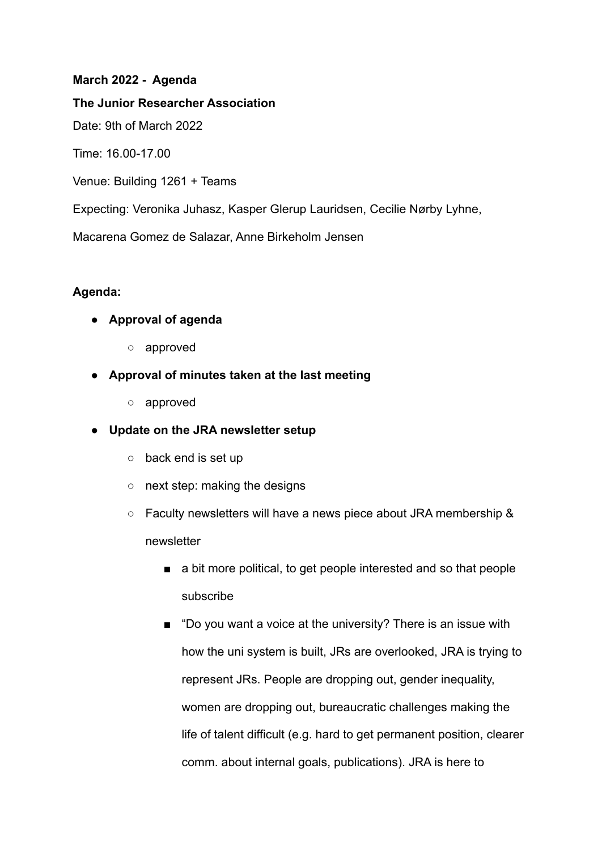## **March 2022 - Agenda**

**The Junior Researcher Association**

Date: 9th of March 2022

Time: 16.00-17.00

Venue: Building 1261 + Teams

Expecting: Veronika Juhasz, Kasper Glerup Lauridsen, Cecilie Nørby Lyhne,

Macarena Gomez de Salazar, Anne Birkeholm Jensen

## **Agenda:**

- **● Approval of agenda**
	- approved
- **● Approval of minutes taken at the last meeting**
	- approved
- **● Update on the JRA newsletter setup**
	- back end is set up
	- next step: making the designs
	- Faculty newsletters will have a news piece about JRA membership & newsletter
		- a bit more political, to get people interested and so that people subscribe
		- "Do you want a voice at the university? There is an issue with how the uni system is built, JRs are overlooked, JRA is trying to represent JRs. People are dropping out, gender inequality, women are dropping out, bureaucratic challenges making the life of talent difficult (e.g. hard to get permanent position, clearer comm. about internal goals, publications). JRA is here to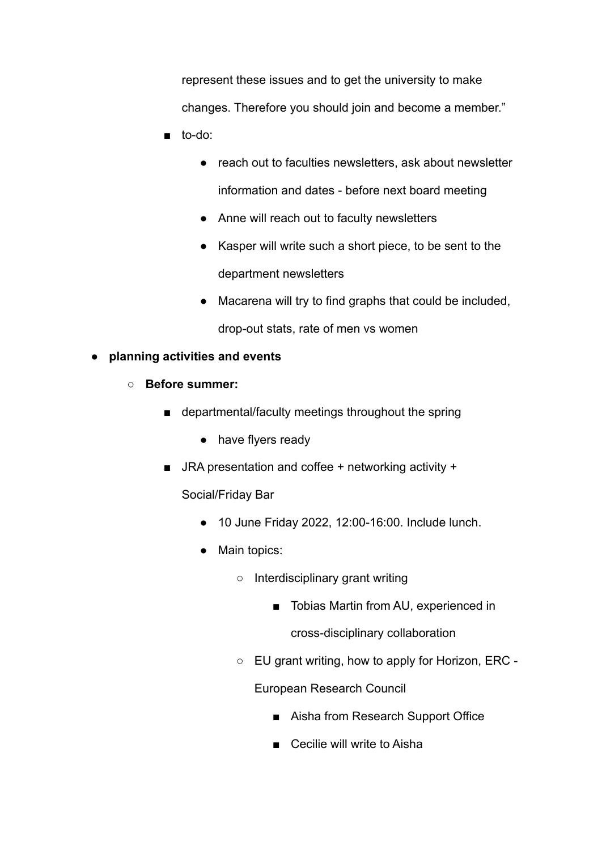represent these issues and to get the university to make changes. Therefore you should join and become a member."

- to-do:
	- reach out to faculties newsletters, ask about newsletter information and dates - before next board meeting
	- Anne will reach out to faculty newsletters
	- Kasper will write such a short piece, to be sent to the department newsletters
	- Macarena will try to find graphs that could be included, drop-out stats, rate of men vs women
- **● planning activities and events**
	- **○ Before summer:**
		- departmental/faculty meetings throughout the spring
			- have flyers ready
		- $\blacksquare$  JRA presentation and coffee + networking activity +

Social/Friday Bar

- 10 June Friday 2022, 12:00-16:00. Include lunch.
- Main topics:
	- Interdisciplinary grant writing
		- Tobias Martin from AU, experienced in

cross-disciplinary collaboration

○ EU grant writing, how to apply for Horizon, ERC -

European Research Council

- Aisha from Research Support Office
- Cecilie will write to Aisha